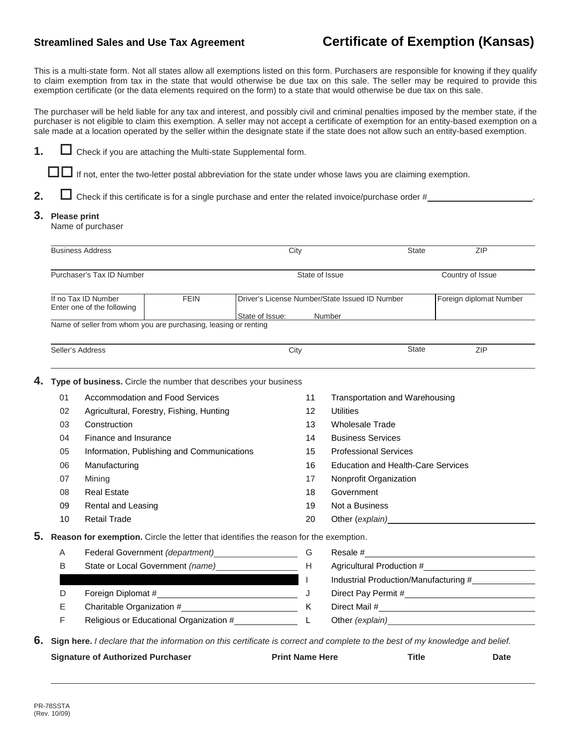**1.**  $\Box$  Check if you are attaching the Multi-state Supplemental form.

## **Streamlined Sales and Use Tax Agreement Certificate of Exemption (Kansas)**

This is a multi-state form. Not all states allow all exemptions listed on this form. Purchasers are responsible for knowing if they qualify to claim exemption from tax in the state that would otherwise be due tax on this sale. The seller may be required to provide this exemption certificate (or the data elements required on the form) to a state that would otherwise be due tax on this sale.

The purchaser will be held liable for any tax and interest, and possibly civil and criminal penalties imposed by the member state, if the purchaser is not eligible to claim this exemption. A seller may not accept a certificate of exemption for an entity-based exemption on a sale made at a location operated by the seller within the designate state if the state does not allow such an entity-based exemption.

|                                                                                             |                                                                  |                                                       |                                                                  |                                                          |                                       | Check if this certificate is for a single purchase and enter the related invoice/purchase order #                                                                                                                              |  |                         |  |
|---------------------------------------------------------------------------------------------|------------------------------------------------------------------|-------------------------------------------------------|------------------------------------------------------------------|----------------------------------------------------------|---------------------------------------|--------------------------------------------------------------------------------------------------------------------------------------------------------------------------------------------------------------------------------|--|-------------------------|--|
| 3.                                                                                          | <b>Please print</b><br>Name of purchaser                         |                                                       |                                                                  |                                                          |                                       |                                                                                                                                                                                                                                |  |                         |  |
|                                                                                             |                                                                  | <b>Business Address</b>                               |                                                                  | City                                                     |                                       | <b>State</b>                                                                                                                                                                                                                   |  | ZIP                     |  |
|                                                                                             | Purchaser's Tax ID Number                                        |                                                       | State of Issue                                                   |                                                          |                                       | Country of Issue                                                                                                                                                                                                               |  |                         |  |
|                                                                                             | <b>FEIN</b><br>If no Tax ID Number<br>Enter one of the following |                                                       |                                                                  | Driver's License Number/State Issued ID Number<br>Number |                                       |                                                                                                                                                                                                                                |  | Foreign diplomat Number |  |
|                                                                                             |                                                                  |                                                       | Name of seller from whom you are purchasing, leasing or renting  | State of Issue:                                          |                                       |                                                                                                                                                                                                                                |  |                         |  |
|                                                                                             |                                                                  | Seller's Address                                      |                                                                  | City                                                     |                                       | <b>State</b>                                                                                                                                                                                                                   |  | ZIP                     |  |
|                                                                                             |                                                                  |                                                       | Type of business. Circle the number that describes your business |                                                          |                                       |                                                                                                                                                                                                                                |  |                         |  |
| 01                                                                                          |                                                                  |                                                       | <b>Accommodation and Food Services</b>                           |                                                          | 11                                    | Transportation and Warehousing                                                                                                                                                                                                 |  |                         |  |
|                                                                                             | 02                                                               |                                                       | Agricultural, Forestry, Fishing, Hunting                         |                                                          | $12 \overline{ }$                     | <b>Utilities</b>                                                                                                                                                                                                               |  |                         |  |
|                                                                                             | 03                                                               | Construction                                          |                                                                  |                                                          | 13                                    | <b>Wholesale Trade</b>                                                                                                                                                                                                         |  |                         |  |
|                                                                                             | 04                                                               | Finance and Insurance                                 |                                                                  |                                                          | 14                                    | <b>Business Services</b>                                                                                                                                                                                                       |  |                         |  |
|                                                                                             | 05<br>Information, Publishing and Communications                 |                                                       |                                                                  | 15                                                       | <b>Professional Services</b>          |                                                                                                                                                                                                                                |  |                         |  |
|                                                                                             | 06                                                               | Manufacturing                                         |                                                                  |                                                          | 16                                    | <b>Education and Health-Care Services</b>                                                                                                                                                                                      |  |                         |  |
|                                                                                             | 07                                                               | Mining                                                |                                                                  |                                                          | 17                                    | Nonprofit Organization                                                                                                                                                                                                         |  |                         |  |
|                                                                                             | 08                                                               | <b>Real Estate</b>                                    |                                                                  |                                                          | 18                                    | Government                                                                                                                                                                                                                     |  |                         |  |
|                                                                                             | 09                                                               | Rental and Leasing                                    |                                                                  |                                                          | 19                                    | Not a Business                                                                                                                                                                                                                 |  |                         |  |
|                                                                                             | 10                                                               | <b>Retail Trade</b>                                   |                                                                  |                                                          | 20                                    | Other (explain) example and the control of the control of the control of the control of the control of the control of the control of the control of the control of the control of the control of the control of the control of |  |                         |  |
| 5.<br>Reason for exemption. Circle the letter that identifies the reason for the exemption. |                                                                  |                                                       |                                                                  |                                                          |                                       |                                                                                                                                                                                                                                |  |                         |  |
|                                                                                             | Federal Government (department) __________________<br>Α          |                                                       |                                                                  |                                                          | G                                     |                                                                                                                                                                                                                                |  |                         |  |
|                                                                                             | B                                                                |                                                       |                                                                  |                                                          | H                                     | Agricultural Production #                                                                                                                                                                                                      |  |                         |  |
|                                                                                             |                                                                  |                                                       |                                                                  |                                                          | Industrial Production/Manufacturing # |                                                                                                                                                                                                                                |  |                         |  |
| D                                                                                           |                                                                  |                                                       |                                                                  | J                                                        |                                       |                                                                                                                                                                                                                                |  |                         |  |
| E                                                                                           |                                                                  |                                                       |                                                                  |                                                          | K                                     |                                                                                                                                                                                                                                |  |                         |  |
|                                                                                             | F                                                                | Religious or Educational Organization #______________ |                                                                  |                                                          | L                                     | Other (explain) example and the control of the control of the control of the control of the control of the control of the control of the control of the control of the control of the control of the control of the control of |  |                         |  |

**6. Sign here.** *I declare that the information on this certificate is correct and complete to the best of my knowledge and belief.*

| <b>Signature of Authorized Purchaser</b> | <b>Print Name Here</b> | <b>Title</b> | <b>Date</b> |
|------------------------------------------|------------------------|--------------|-------------|
|                                          |                        |              |             |